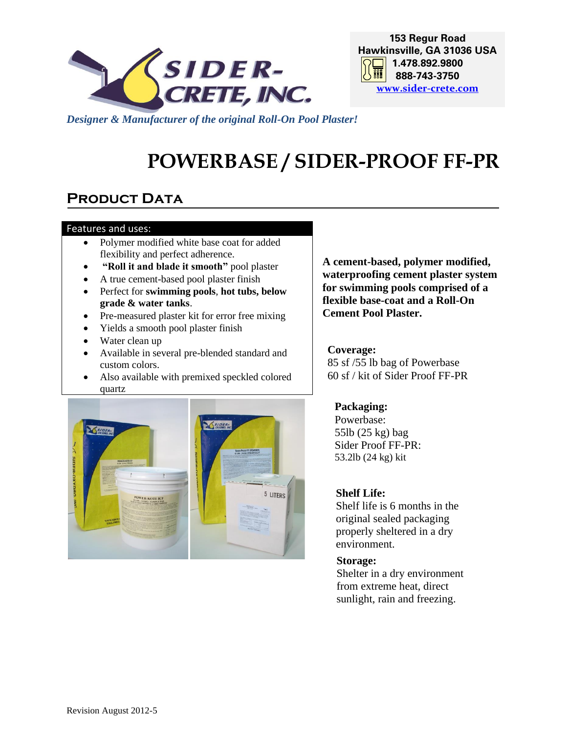

**153 Regur Road Hawkinsville, GA 31036 USA 1.478.892.9800** 丽| **888-743-3750 [www.sider-crete.com](http://www.sider-oxydro.com/)**

*Designer & Manufacturer of the original Roll-On Pool Plaster!*

# **POWERBASE / SIDER-PROOF FF-PR**

# **PRODUCT DATA**

#### Features and uses:

- Polymer modified white base coat for added flexibility and perfect adherence.
- **"Roll it and blade it smooth"** pool plaster
- A true cement-based pool plaster finish
- Perfect for **swimming pools**, **hot tubs, below grade & water tanks**.
- Pre-measured plaster kit for error free mixing
- Yields a smooth pool plaster finish
- Water clean up
- Available in several pre-blended standard and custom colors.
- Also available with premixed speckled colored quartz



**A cement-based, polymer modified, waterproofing cement plaster system for swimming pools comprised of a flexible base-coat and a Roll-On Cement Pool Plaster.**

### **Coverage:**

85 sf /55 lb bag of Powerbase 60 sf / kit of Sider Proof FF-PR

### **Packaging:**

Powerbase: 55lb (25 kg) bag Sider Proof FF-PR: 53.2lb (24 kg) kit

### **Shelf Life:**

Shelf life is 6 months in the original sealed packaging properly sheltered in a dry environment.

### **Storage:**

Shelter in a dry environment from extreme heat, direct sunlight, rain and freezing.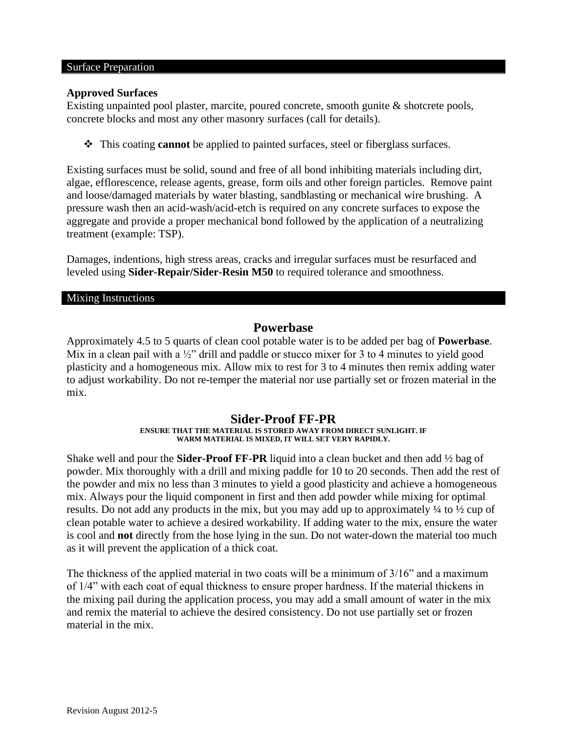#### Surface Preparation

#### **Approved Surfaces**

Existing unpainted pool plaster, marcite, poured concrete, smooth gunite & shotcrete pools, concrete blocks and most any other masonry surfaces (call for details).

❖ This coating **cannot** be applied to painted surfaces, steel or fiberglass surfaces.

Existing surfaces must be solid, sound and free of all bond inhibiting materials including dirt, algae, efflorescence, release agents, grease, form oils and other foreign particles. Remove paint and loose/damaged materials by water blasting, sandblasting or mechanical wire brushing. A pressure wash then an acid-wash/acid-etch is required on any concrete surfaces to expose the aggregate and provide a proper mechanical bond followed by the application of a neutralizing treatment (example: TSP).

Damages, indentions, high stress areas, cracks and irregular surfaces must be resurfaced and leveled using **Sider-Repair/Sider-Resin M50** to required tolerance and smoothness.

#### Mixing Instructions

### **Powerbase**

Approximately 4.5 to 5 quarts of clean cool potable water is to be added per bag of **Powerbase**. Mix in a clean pail with a  $\frac{1}{2}$ " drill and paddle or stucco mixer for 3 to 4 minutes to yield good plasticity and a homogeneous mix. Allow mix to rest for 3 to 4 minutes then remix adding water to adjust workability. Do not re-temper the material nor use partially set or frozen material in the mix.

#### **Sider-Proof FF-PR ENSURE THAT THE MATERIAL IS STORED AWAY FROM DIRECT SUNLIGHT. IF WARM MATERIAL IS MIXED, IT WILL SET VERY RAPIDLY.**

Shake well and pour the **Sider-Proof FF-PR** liquid into a clean bucket and then add ½ bag of powder. Mix thoroughly with a drill and mixing paddle for 10 to 20 seconds. Then add the rest of the powder and mix no less than 3 minutes to yield a good plasticity and achieve a homogeneous mix. Always pour the liquid component in first and then add powder while mixing for optimal results. Do not add any products in the mix, but you may add up to approximately ¼ to ½ cup of clean potable water to achieve a desired workability. If adding water to the mix, ensure the water is cool and **not** directly from the hose lying in the sun. Do not water-down the material too much as it will prevent the application of a thick coat.

The thickness of the applied material in two coats will be a minimum of 3/16" and a maximum of 1/4" with each coat of equal thickness to ensure proper hardness. If the material thickens in the mixing pail during the application process, you may add a small amount of water in the mix and remix the material to achieve the desired consistency. Do not use partially set or frozen material in the mix.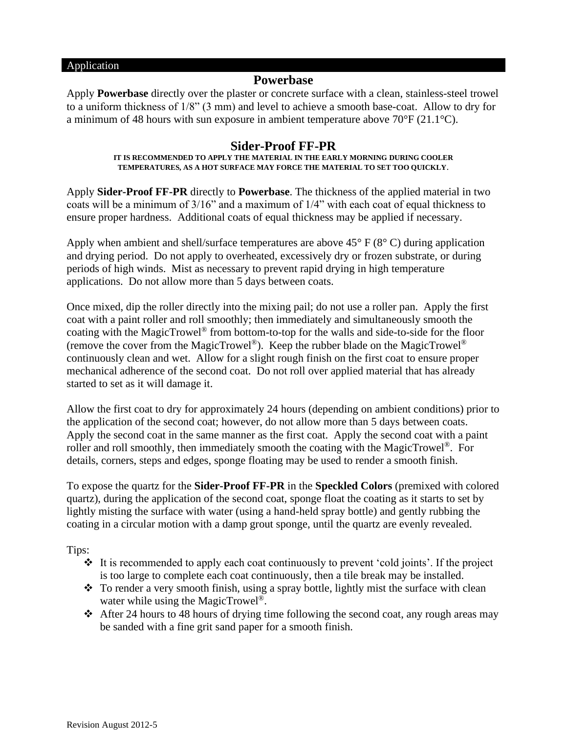#### Application

### **Powerbase**

Apply **Powerbase** directly over the plaster or concrete surface with a clean, stainless-steel trowel to a uniform thickness of 1/8" (3 mm) and level to achieve a smooth base-coat. Allow to dry for a minimum of 48 hours with sun exposure in ambient temperature above 70°F (21.1°C).

### **Sider-Proof FF-PR**

#### **IT IS RECOMMENDED TO APPLY THE MATERIAL IN THE EARLY MORNING DURING COOLER TEMPERATURES, AS A HOT SURFACE MAY FORCE THE MATERIAL TO SET TOO QUICKLY**.

Apply **Sider-Proof FF-PR** directly to **Powerbase**. The thickness of the applied material in two coats will be a minimum of 3/16" and a maximum of 1/4" with each coat of equal thickness to ensure proper hardness. Additional coats of equal thickness may be applied if necessary.

Apply when ambient and shell/surface temperatures are above  $45^{\circ}$  F ( $8^{\circ}$  C) during application and drying period. Do not apply to overheated, excessively dry or frozen substrate, or during periods of high winds. Mist as necessary to prevent rapid drying in high temperature applications. Do not allow more than 5 days between coats.

Once mixed, dip the roller directly into the mixing pail; do not use a roller pan. Apply the first coat with a paint roller and roll smoothly; then immediately and simultaneously smooth the coating with the MagicTrowel® from bottom-to-top for the walls and side-to-side for the floor (remove the cover from the MagicTrowel®). Keep the rubber blade on the MagicTrowel® continuously clean and wet. Allow for a slight rough finish on the first coat to ensure proper mechanical adherence of the second coat. Do not roll over applied material that has already started to set as it will damage it.

Allow the first coat to dry for approximately 24 hours (depending on ambient conditions) prior to the application of the second coat; however, do not allow more than 5 days between coats. Apply the second coat in the same manner as the first coat. Apply the second coat with a paint roller and roll smoothly, then immediately smooth the coating with the MagicTrowel<sup>®</sup>. For details, corners, steps and edges, sponge floating may be used to render a smooth finish.

To expose the quartz for the **Sider-Proof FF-PR** in the **Speckled Colors** (premixed with colored quartz), during the application of the second coat, sponge float the coating as it starts to set by lightly misting the surface with water (using a hand-held spray bottle) and gently rubbing the coating in a circular motion with a damp grout sponge, until the quartz are evenly revealed.

Tips:

- $\div$  It is recommended to apply each coat continuously to prevent 'cold joints'. If the project is too large to complete each coat continuously, then a tile break may be installed.
- ❖ To render a very smooth finish, using a spray bottle, lightly mist the surface with clean water while using the MagicTrowel<sup>®</sup>.
- **❖** After 24 hours to 48 hours of drying time following the second coat, any rough areas may be sanded with a fine grit sand paper for a smooth finish.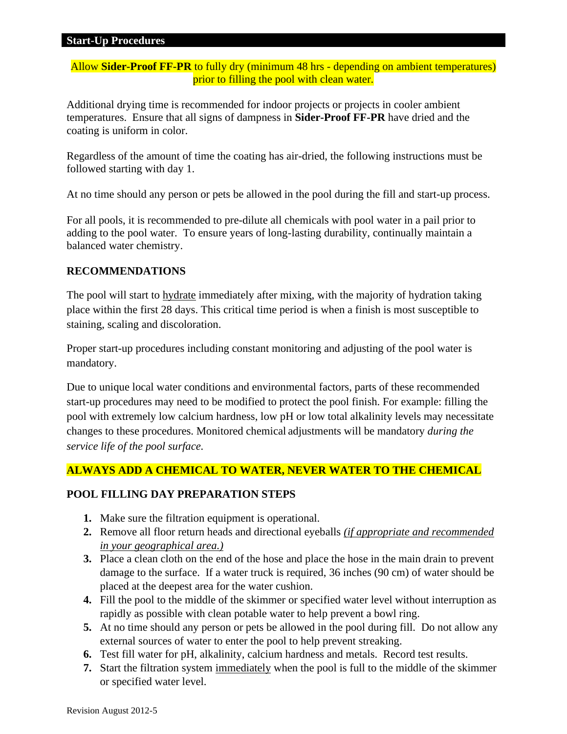Allow **Sider-Proof FF-PR** to fully dry (minimum 48 hrs - depending on ambient temperatures) prior to filling the pool with clean water.

Additional drying time is recommended for indoor projects or projects in cooler ambient temperatures. Ensure that all signs of dampness in **Sider-Proof FF-PR** have dried and the coating is uniform in color.

Regardless of the amount of time the coating has air-dried, the following instructions must be followed starting with day 1.

At no time should any person or pets be allowed in the pool during the fill and start-up process.

For all pools, it is recommended to pre-dilute all chemicals with pool water in a pail prior to adding to the pool water. To ensure years of long-lasting durability, continually maintain a balanced water chemistry.

### **RECOMMENDATIONS**

The pool will start to hydrate immediately after mixing, with the majority of hydration taking place within the first 28 days. This critical time period is when a finish is most susceptible to staining, scaling and discoloration.

Proper start-up procedures including constant monitoring and adjusting of the pool water is mandatory.

Due to unique local water conditions and environmental factors, parts of these recommended start-up procedures may need to be modified to protect the pool finish. For example: filling the pool with extremely low calcium hardness, low pH or low total alkalinity levels may necessitate changes to these procedures. Monitored chemical adjustments will be mandatory *during the service life of the pool surface.* 

### **ALWAYS ADD A CHEMICAL TO WATER, NEVER WATER TO THE CHEMICAL**

### **POOL FILLING DAY PREPARATION STEPS**

- **1.** Make sure the filtration equipment is operational.
- **2.** Remove all floor return heads and directional eyeballs *(if appropriate and recommended in your geographical area.)*
- **3.** Place a clean cloth on the end of the hose and place the hose in the main drain to prevent damage to the surface. If a water truck is required, 36 inches (90 cm) of water should be placed at the deepest area for the water cushion.
- **4.** Fill the pool to the middle of the skimmer or specified water level without interruption as rapidly as possible with clean potable water to help prevent a bowl ring.
- **5.** At no time should any person or pets be allowed in the pool during fill. Do not allow any external sources of water to enter the pool to help prevent streaking.
- **6.** Test fill water for pH, alkalinity, calcium hardness and metals. Record test results.
- **7.** Start the filtration system immediately when the pool is full to the middle of the skimmer or specified water level.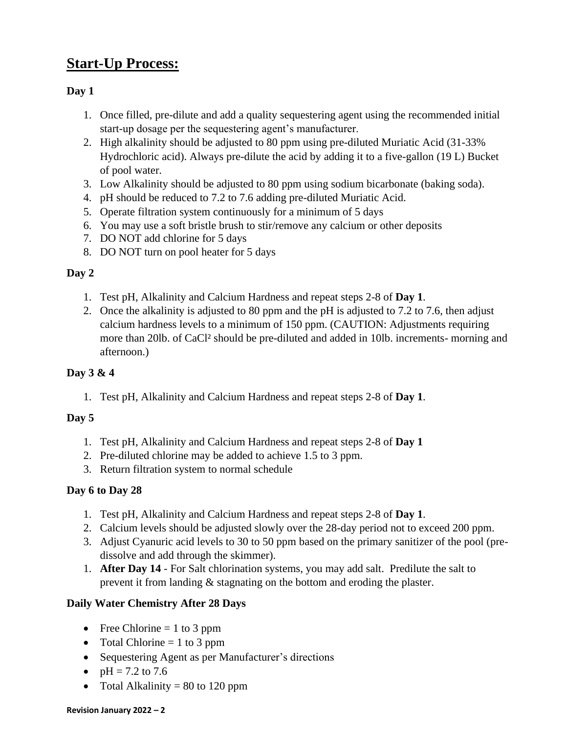# **Start-Up Process:**

### **Day 1**

- 1. Once filled, pre-dilute and add a quality sequestering agent using the recommended initial start-up dosage per the sequestering agent's manufacturer.
- 2. High alkalinity should be adjusted to 80 ppm using pre-diluted Muriatic Acid (31-33% Hydrochloric acid). Always pre-dilute the acid by adding it to a five-gallon (19 L) Bucket of pool water.
- 3. Low Alkalinity should be adjusted to 80 ppm using sodium bicarbonate (baking soda).
- 4. pH should be reduced to 7.2 to 7.6 adding pre-diluted Muriatic Acid.
- 5. Operate filtration system continuously for a minimum of 5 days
- 6. You may use a soft bristle brush to stir/remove any calcium or other deposits
- 7. DO NOT add chlorine for 5 days
- 8. DO NOT turn on pool heater for 5 days

### **Day 2**

- 1. Test pH, Alkalinity and Calcium Hardness and repeat steps 2-8 of **Day 1**.
- 2. Once the alkalinity is adjusted to 80 ppm and the pH is adjusted to 7.2 to 7.6, then adjust calcium hardness levels to a minimum of 150 ppm. (CAUTION: Adjustments requiring more than 20lb. of CaCl² should be pre-diluted and added in 10lb. increments- morning and afternoon.)

### **Day 3 & 4**

1. Test pH, Alkalinity and Calcium Hardness and repeat steps 2-8 of **Day 1**.

### **Day 5**

- 1. Test pH, Alkalinity and Calcium Hardness and repeat steps 2-8 of **Day 1**
- 2. Pre-diluted chlorine may be added to achieve 1.5 to 3 ppm.
- 3. Return filtration system to normal schedule

### **Day 6 to Day 28**

- 1. Test pH, Alkalinity and Calcium Hardness and repeat steps 2-8 of **Day 1**.
- 2. Calcium levels should be adjusted slowly over the 28-day period not to exceed 200 ppm.
- 3. Adjust Cyanuric acid levels to 30 to 50 ppm based on the primary sanitizer of the pool (predissolve and add through the skimmer).
- 1. **After Day 14** For Salt chlorination systems, you may add salt.Predilute the salt to prevent it from landing & stagnating on the bottom and eroding the plaster.

### **Daily Water Chemistry After 28 Days**

- Free Chlorine  $= 1$  to 3 ppm
- Total Chlorine  $= 1$  to 3 ppm
- Sequestering Agent as per Manufacturer's directions
- $pH = 7.2$  to 7.6
- Total Alkalinity  $= 80$  to 120 ppm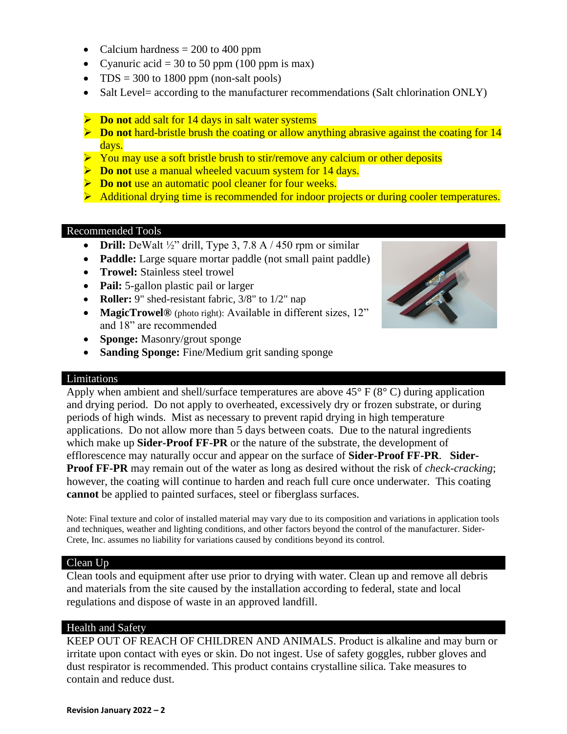- Calcium hardness  $= 200$  to 400 ppm
- Cyanuric acid = 30 to 50 ppm (100 ppm is max)
- TDS = 300 to 1800 ppm (non-salt pools)
- Salt Level= according to the manufacturer recommendations (Salt chlorination ONLY)
- ➢ **Do not** add salt for 14 days in salt water systems
- ➢ **Do not** hard-bristle brush the coating or allow anything abrasive against the coating for 14 days.
- ➢ You may use a soft bristle brush to stir/remove any calcium or other deposits
- ➢ **Do not** use a manual wheeled vacuum system for 14 days.
- ➢ **Do not** use an automatic pool cleaner for four weeks.
- ➢ Additional drying time is recommended for indoor projects or during cooler temperatures.

#### Recommended Tools

- **Drill:** DeWalt  $\frac{1}{2}$ " drill, Type 3, 7.8 A  $/$  450 rpm or similar
- **Paddle:** Large square mortar paddle (not small paint paddle)
- **Trowel:** Stainless steel trowel
- **Pail:** 5-gallon plastic pail or larger
- **Roller:** 9" shed-resistant fabric, 3/8" to 1/2" nap
- **MagicTrowel®** (photo right): Available in different sizes, 12" and 18" are recommended
- **Sponge:** Masonry/grout sponge
- **Sanding Sponge:** Fine/Medium grit sanding sponge

#### Limitations

Apply when ambient and shell/surface temperatures are above  $45^{\circ}$  F ( $8^{\circ}$  C) during application and drying period. Do not apply to overheated, excessively dry or frozen substrate, or during periods of high winds. Mist as necessary to prevent rapid drying in high temperature applications. Do not allow more than 5 days between coats. Due to the natural ingredients which make up **Sider-Proof FF-PR** or the nature of the substrate, the development of efflorescence may naturally occur and appear on the surface of **Sider-Proof FF-PR**. **Sider-Proof FF-PR** may remain out of the water as long as desired without the risk of *check-cracking*; however, the coating will continue to harden and reach full cure once underwater. This coating **cannot** be applied to painted surfaces, steel or fiberglass surfaces.

Note: Final texture and color of installed material may vary due to its composition and variations in application tools and techniques, weather and lighting conditions, and other factors beyond the control of the manufacturer. Sider-Crete, Inc. assumes no liability for variations caused by conditions beyond its control.

#### Clean Up

Clean tools and equipment after use prior to drying with water. Clean up and remove all debris and materials from the site caused by the installation according to federal, state and local regulations and dispose of waste in an approved landfill.

### Health and Safety

KEEP OUT OF REACH OF CHILDREN AND ANIMALS. Product is alkaline and may burn or irritate upon contact with eyes or skin. Do not ingest. Use of safety goggles, rubber gloves and dust respirator is recommended. This product contains crystalline silica. Take measures to contain and reduce dust.